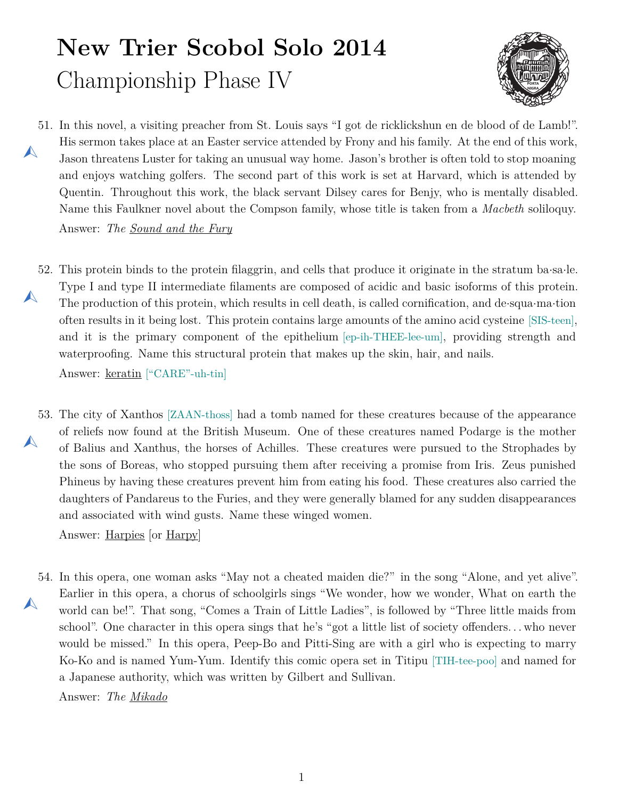## **New Trier Scobol Solo 2014** Championship Phase IV



<span id="page-0-0"></span>51. In this novel, a visiting preacher from St. Louis says "I got de ricklickshun en de blood of de Lamb!".  $\blacktriangle$ His sermon takes place at an Easter service attended by Frony and his family. At the end of this work, Jason threatens Luster for taking an unusual way home. Jason's brother is often told to stop moaning and enjoys watching golfers. The second part of this work is set at Harvard, which is attended by Quentin. Throughout this work, the black servant Dilsey cares for Benjy, who is mentally disabled. Name this Faulkner novel about the Compson family, whose title is taken from a *Macbeth* soliloquy.

Answer: *The Sound and the Fury*

<span id="page-0-1"></span>52. This protein binds to the protein filaggrin, and cells that produce it originate in the stratum ba*·*sa*·*le.  $\blacktriangle$ Type I and type II intermediate filaments are composed of acidic and basic isoforms of this protein. The production of this protein, which results in cell death, is called cornification, and de*·*squa*·*ma*·*tion often results in it being lost. This protein contains large amounts of the amino acid cysteine [SIS-teen], and it is the primary component of the epithelium [ep-ih-THEE-lee-um], providing strength and waterproofing. Name this structural protein that makes up the skin, hair, and nails. Answer: keratin ["CARE"-uh-tin]

<span id="page-0-2"></span>53. The city of Xanthos [ZAAN-thoss] had a tomb named for these creatures because of the appearance  $\blacktriangle$ of reliefs now found at the British Museum. One of these creatures named Podarge is the mother of Balius and Xanthus, the horses of Achilles. These creatures were pursued to the Strophades by the sons of Boreas, who stopped pursuing them after receiving a promise from Iris. Zeus punished Phineus by having these creatures prevent him from eating his food. These creatures also carried the daughters of Pandareus to the Furies, and they were generally blamed for any sudden disappearances and associated with wind gusts. Name these winged women.

Answer: Harpies [or Harpy]

<span id="page-0-3"></span>54. In this opera, one woman asks "May not a cheated maiden die?" in the song "Alone, and yet alive".  $\blacktriangle$ Earlier in this opera, a chorus of schoolgirls sings "We wonder, how we wonder, What on earth the world can be!". That song, "Comes a Train of Little Ladies", is followed by "Three little maids from school". One character in this opera sings that he's "got a little list of society offenders. . . who never would be missed." In this opera, Peep-Bo and Pitti-Sing are with a girl who is expecting to marry Ko-Ko and is named Yum-Yum. Identify this comic opera set in Titipu [TIH-tee-poo] and named for a Japanese authority, which was written by Gilbert and Sullivan.

Answer: *The Mikado*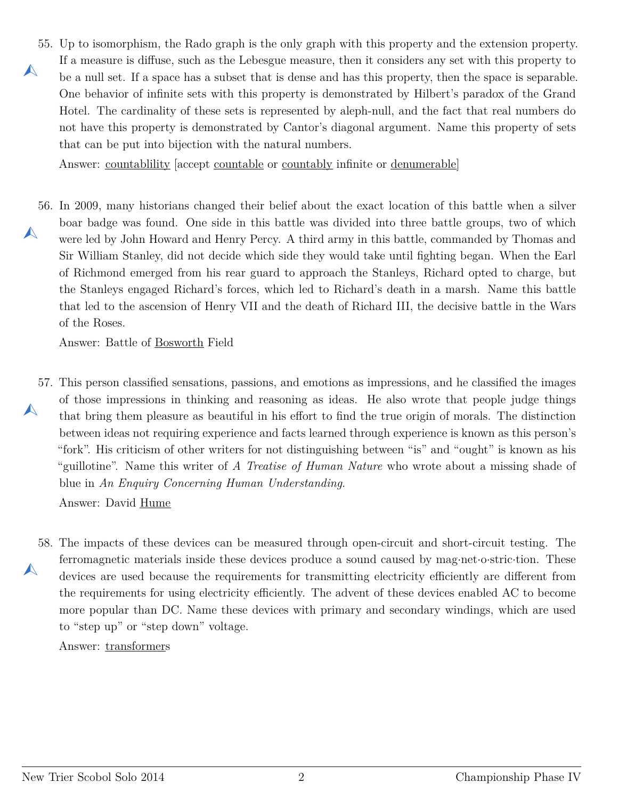<span id="page-1-0"></span>55. Up to isomorphism, the Rado graph is the only graph with this property and the extension property.  $\blacktriangle$ If a measure is diffuse, such as the Lebesgue measure, then it considers any set with this property to be a null set. If a space has a subset that is dense and has this property, then the space is separable. One behavior of infinite sets with this property is demonstrated by Hilbert's paradox of the Grand Hotel. The cardinality of these sets is represented by aleph-null, and the fact that real numbers do not have this property is demonstrated by Cantor's diagonal argument. Name this property of sets that can be put into bijection with the natural numbers.

Answer: countablility [accept countable or countably infinite or denumerable]

<span id="page-1-1"></span>56. In 2009, many historians changed their belief about the exact location of this battle when a silver  $\blacktriangle$ boar badge was found. One side in this battle was divided into three battle groups, two of which were led by John Howard and Henry Percy. A third army in this battle, commanded by Thomas and Sir William Stanley, did not decide which side they would take until fighting began. When the Earl of Richmond emerged from his rear guard to approach the Stanleys, Richard opted to charge, but the Stanleys engaged Richard's forces, which led to Richard's death in a marsh. Name this battle that led to the ascension of Henry VII and the death of Richard III, the decisive battle in the Wars of the Roses.

Answer: Battle of Bosworth Field

<span id="page-1-2"></span>57. This person classified sensations, passions, and emotions as impressions, and he classified the images  $\blacktriangle$ of those impressions in thinking and reasoning as ideas. He also wrote that people judge things that bring them pleasure as beautiful in his effort to find the true origin of morals. The distinction between ideas not requiring experience and facts learned through experience is known as this person's "fork". His criticism of other writers for not distinguishing between "is" and "ought" is known as his "guillotine". Name this writer of *A Treatise of Human Nature* who wrote about a missing shade of blue in *An Enquiry Concerning Human Understanding*.

Answer: David Hume

<span id="page-1-3"></span>58. The impacts of these devices can be measured through open-circuit and short-circuit testing. The  $\blacktriangle$ ferromagnetic materials inside these devices produce a sound caused by mag*·*net*·*o*·*stric*·*tion. These devices are used because the requirements for transmitting electricity efficiently are different from the requirements for using electricity efficiently. The advent of these devices enabled AC to become more popular than DC. Name these devices with primary and secondary windings, which are used to "step up" or "step down" voltage.

Answer: transformers